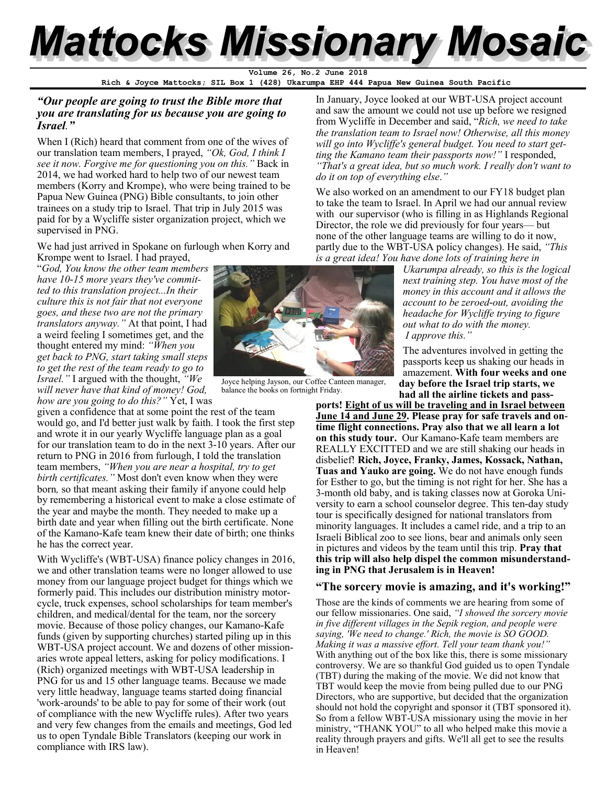# **Mattocks Missionary Mosaic**

Volume 26, No.2 June

**Rich & Joyce Mattocks; SIL Box 1 (428) Ukarumpa EHP 444 Papua New Guinea South Pacific**

## *"Our people are going to trust the Bible more that you are translating for us because you are going to Israel."*

When I (Rich) heard that comment from one of the wives of our translation team members, I prayed, *"Ok, God, I think I see it now. Forgive me for questioning you on this."* Back in 2014, we had worked hard to help two of our newest team members (Korry and Krompe), who were being trained to be Papua New Guinea (PNG) Bible consultants, to join other trainees on a study trip to Israel. That trip in July 2015 was paid for by a Wycliffe sister organization project, which we supervised in PNG.

We had just arrived in Spokane on furlough when Korry and Krompe went to Israel. I had prayed,

"*God, You know the other team members have 10-15 more years they've committed to this translation project...In their culture this is not fair that not everyone goes, and these two are not the primary translators anyway."* At that point, I had a weird feeling I sometimes get, and the thought entered my mind: *"When you get back to PNG, start taking small steps to get the rest of the team ready to go to Israel."* I argued with the thought, *"We will never have that kind of money! God, how are you going to do this?"* Yet, I was

given a confidence that at some point the rest of the team would go, and I'd better just walk by faith. I took the first step and wrote it in our yearly Wycliffe language plan as a goal for our translation team to do in the next 3-10 years. After our return to PNG in 2016 from furlough, I told the translation team members, *"When you are near a hospital, try to get birth certificates."* Most don't even know when they were born*,* so that meant asking their family if anyone could help by remembering a historical event to make a close estimate of the year and maybe the month. They needed to make up a birth date and year when filling out the birth certificate. None of the Kamano-Kafe team knew their date of birth; one thinks he has the correct year.

With Wycliffe's (WBT-USA) finance policy changes in 2016, we and other translation teams were no longer allowed to use money from our language project budget for things which we formerly paid. This includes our distribution ministry motorcycle, truck expenses, school scholarships for team member's children, and medical/dental for the team, nor the sorcery movie. Because of those policy changes, our Kamano-Kafe funds (given by supporting churches) started piling up in this WBT-USA project account. We and dozens of other missionaries wrote appeal letters, asking for policy modifications. I (Rich) organized meetings with WBT-USA leadership in PNG for us and 15 other language teams. Because we made very little headway, language teams started doing financial 'work-arounds' to be able to pay for some of their work (out of compliance with the new Wycliffe rules). After two years and very few changes from the emails and meetings, God led us to open Tyndale Bible Translators (keeping our work in compliance with IRS law).



Joyce helping Jayson, our Coffee Canteen manager, balance the books on fortnight Friday.

In January, Joyce looked at our WBT-USA project account and saw the amount we could not use up before we resigned from Wycliffe in December and said, "*Rich, we need to take the translation team to Israel now! Otherwise, all this money will go into Wycliffe's general budget. You need to start getting the Kamano team their passports now!"* I responded, *"That's a great idea, but so much work. I really don't want to do it on top of everything else*.*"*

We also worked on an amendment to our FY18 budget plan to take the team to Israel. In April we had our annual review with our supervisor (who is filling in as Highlands Regional Director, the role we did previously for four years— but none of the other language teams are willing to do it now, partly due to the WBT-USA policy changes). He said, *"This is a great idea! You have done lots of training here in* 

*Ukarumpa already, so this is the logical next training step. You have most of the money in this account and it allows the account to be zeroed-out, avoiding the headache for Wycliffe trying to figure out what to do with the money. I approve this."* 

The adventures involved in getting the passports keep us shaking our heads in amazement. **With four weeks and one day before the Israel trip starts, we had all the airline tickets and pass-**

**ports! Eight of us will be traveling and in Israel between June 14 and June 29. Please pray for safe travels and ontime flight connections. Pray also that we all learn a lot on this study tour.** Our Kamano-Kafe team members are REALLY EXCITTED and we are still shaking our heads in disbelief! **Rich, Joyce, Franky, James, Kossack, Nathan, Tuas and Yauko are going.** We do not have enough funds for Esther to go, but the timing is not right for her. She has a 3-month old baby, and is taking classes now at Goroka University to earn a school counselor degree. This ten-day study tour is specifically designed for national translators from minority languages. It includes a camel ride, and a trip to an Israeli Biblical zoo to see lions, bear and animals only seen in pictures and videos by the team until this trip. **Pray that this trip will also help dispel the common misunderstanding in PNG that Jerusalem is in Heaven!**

## **"The sorcery movie is amazing, and it's working!"**

Those are the kinds of comments we are hearing from some of our fellow missionaries. One said, *"I showed the sorcery movie in five different villages in the Sepik region, and people were saying, 'We need to change.' Rich, the movie is SO GOOD. Making it was a massive effort. Tell your team thank you!"*  With anything out of the box like this, there is some missionary controversy. We are so thankful God guided us to open Tyndale (TBT) during the making of the movie. We did not know that TBT would keep the movie from being pulled due to our PNG Directors, who are supportive, but decided that the organization should not hold the copyright and sponsor it (TBT sponsored it). So from a fellow WBT-USA missionary using the movie in her ministry, "THANK YOU" to all who helped make this movie a reality through prayers and gifts. We'll all get to see the results in Heaven!